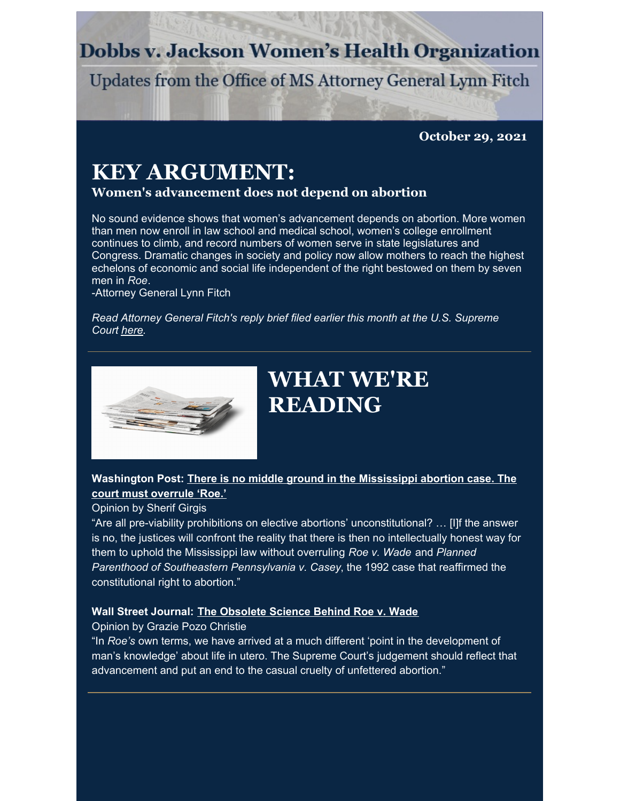### **Dobbs v. Jackson Women's Health Organization**

Updates from the Office of MS Attorney General Lynn Fitch

**October 29, 2021**

### **KEY ARGUMENT:**

### **Women's advancement does not depend on abortion**

No sound evidence shows that women's advancement depends on abortion. More women than men now enroll in law school and medical school, women's college enrollment continues to climb, and record numbers of women serve in state legislatures and Congress. Dramatic changes in society and policy now allow mothers to reach the highest echelons of economic and social life independent of the right bestowed on them by seven men in *Roe*.

-Attorney General Lynn Fitch

*Read Attorney General Fitch's reply brief filed earlier this month at the U.S. Supreme Court [here](https://www.supremecourt.gov/DocketPDF/19/19-1392/196237/20211013162346656_19-1392ReplyBriefForPetitioners.pdf).*



## **WHAT WE'RE READING**

### **[Washington](https://www.washingtonpost.com/opinions/2021/10/22/mississippi-abortion-case-supreme-court-must-overrule-roe/) Post: There is no middle ground in the Mississippi abortion case. The court must overrule 'Roe.'**

Opinion by Sherif Girgis

"Are all pre-viability prohibitions on elective abortions' unconstitutional? … [I]f the answer is no, the justices will confront the reality that there is then no intellectually honest way for them to uphold the Mississippi law without overruling *Roe v. Wade* and *Planned Parenthood of Southeastern Pennsylvania v. Casey*, the 1992 case that reaffirmed the constitutional right to abortion."

### **Wall Street Journal: The [Obsolete](https://www.wsj.com/articles/the-obsolete-science-behind-roe-v-wade-abortion-fetus-supreme-court-ultrasound-11635449644) Science Behind Roe v. Wade**

Opinion by Grazie Pozo Christie

"In *Roe's* own terms, we have arrived at a much different 'point in the development of man's knowledge' about life in utero. The Supreme Court's judgement should reflect that advancement and put an end to the casual cruelty of unfettered abortion."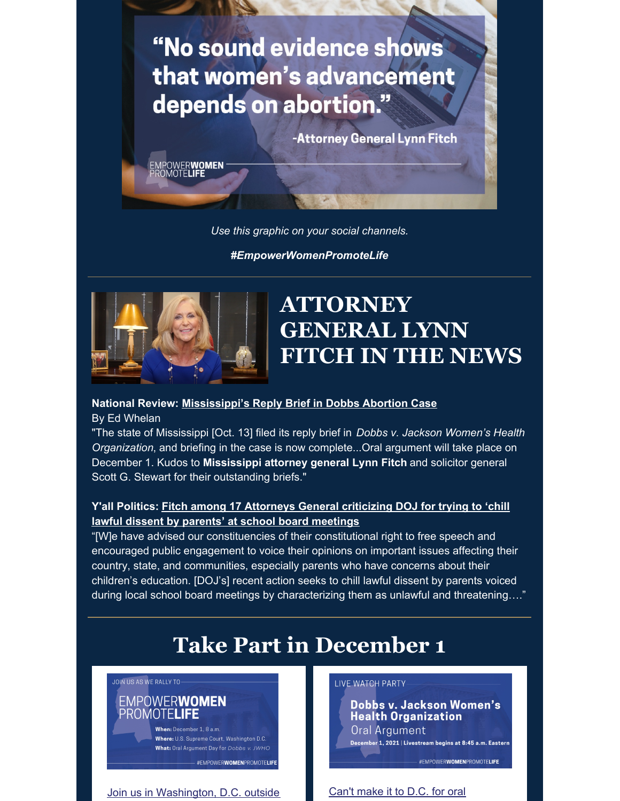# "No sound evidence shows that women's advancement depends on abortion."

-Attorney General Lynn Fitch

EMPOWERWOMEN<br>PROMOTELIFE

*Use this graphic on your social channels.*

*#EmpowerWomenPromoteLife*



## **ATTORNEY GENERAL LYNN FITCH IN THE NEWS**

#### **National Review: [Mississippi's](https://www.nationalreview.com/bench-memos/mississippis-reply-brief-in-dobbs-abortion-case/) Reply Brief in Dobbs Abortion Case**

By Ed Whelan

"The state of Mississippi [Oct. 13] filed its reply brief in *Dobbs v. Jackson Women's Health Organization*, and briefing in the case is now complete...Oral argument will take place on December 1. Kudos to **Mississippi attorney general Lynn Fitch** and solicitor general Scott G. Stewart for their outstanding briefs."

### **Y'all Politics: Fitch among 17 [Attorneys](https://yallpolitics.com/2021/10/20/fitch-among-17-attorneys-general-criticizing-doj-for-trying-to-chill-lawful-dissent-by-parents-at-school-board-meetings/) General criticizing DOJ for trying to 'chill lawful dissent by parents' at school board meetings**

"[W]e have advised our constituencies of their constitutional right to free speech and encouraged public engagement to voice their opinions on important issues affecting their country, state, and communities, especially parents who have concerns about their children's education. [DOJ's] recent action seeks to chill lawful dissent by parents voiced during local school board meetings by characterizing them as unlawful and threatening…."

# **Take Part in December 1**

#### JOIN US AS WE RALLY TO-**EMPOWERWOMEN** PROMOTE**LIFE**

When: December 1, 8 a.m. Where: U.S. Supreme Court, Washington D.C. What: Oral Argument Day for Dobbs v. JWHO

#EMPOWERWOMENPROMOTELIFE

Join us in Washington, D.C. outside Can't make it to D.C. for oral

LIVE WATCH PARTY-

Dobbs v. Jackson Women's **Health Organization** Oral Argument December 1, 2021 | Livestream begins at 8:45 a.m. Eastern

#EMPOWERWOMENPROMOTELIFE